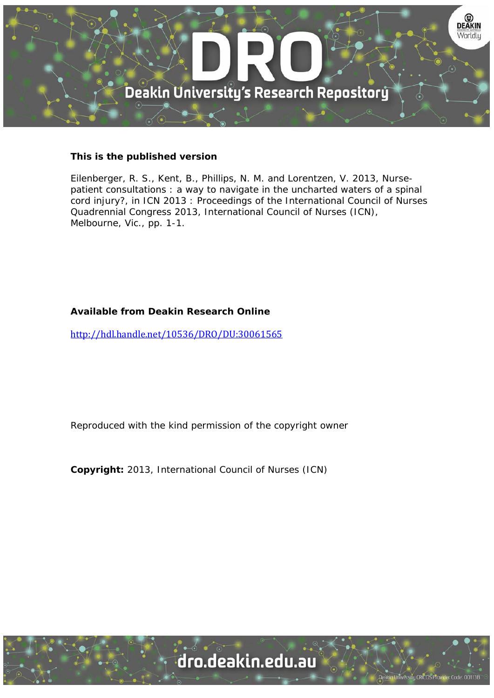

#### **This is the published version**

Eilenberger, R. S., Kent, B., Phillips, N. M. and Lorentzen, V. 2013, Nursepatient consultations : a way to navigate in the uncharted waters of a spinal cord injury?, in ICN 2013 : Proceedings of the International Council of Nurses Quadrennial Congress 2013, International Council of Nurses (ICN), Melbourne, Vic., pp. 1-1.

#### **Available from Deakin Research Online**

http://hdl.handle.net/10536/DRO/DU:30061565

Reproduced with the kind permission of the copyright owner

**Copyright:** 2013, International Council of Nurses (ICN)